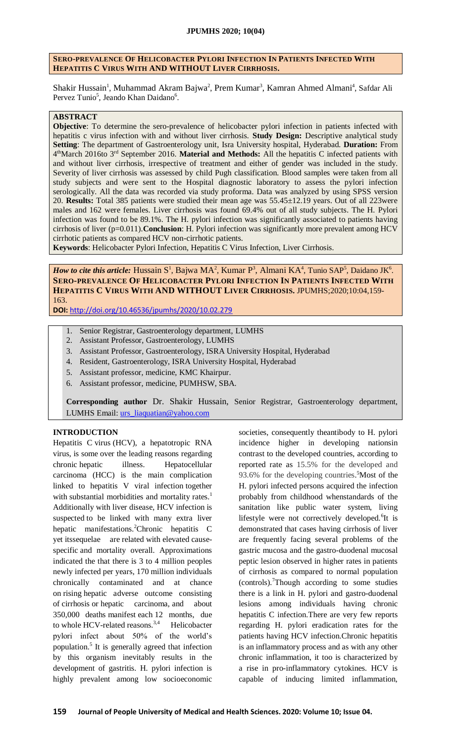#### **SERO-PREVALENCE OF HELICOBACTER PYLORI INFECTION IN PATIENTS INFECTED WITH HEPATITIS C VIRUS WITH AND WITHOUT LIVER CIRRHOSIS.**

Shakir Hussain<sup>1</sup>, Muhammad Akram Bajwa<sup>2</sup>, Prem Kumar<sup>3</sup>, Kamran Ahmed Almani<sup>4</sup>, Safdar Ali Pervez Tunio<sup>5</sup>, Jeando Khan Daidano<sup>6</sup>.

### **ABSTRACT**

**Objective**: To determine the sero-prevalence of helicobacter pylori infection in patients infected with hepatitis c virus infection with and without liver cirrhosis. **Study Design:** Descriptive analytical study **Setting**: The department of Gastroenterology unit, Isra University hospital, Hyderabad. **Duration:** From 4 thMarch 2016to 3rd September 2016. **Material and Methods:** All the hepatitis C infected patients with and without liver cirrhosis, irrespective of treatment and either of gender was included in the study. Severity of liver cirrhosis was assessed by child Pugh classification. Blood samples were taken from all study subjects and were sent to the Hospital diagnostic laboratory to assess the pylori infection serologically. All the data was recorded via study proforma. Data was analyzed by using SPSS version 20. **Results:** Total 385 patients were studied their mean age was 55.45±12.19 years. Out of all 223were males and 162 were females. Liver cirrhosis was found 69.4% out of all study subjects. The H. Pylori infection was found to be 89.1%. The H. pylori infection was significantly associated to patients having cirrhosis of liver (p=0.011).**Conclusion**: H. Pylori infection was significantly more prevalent among HCV cirrhotic patients as compared HCV non-cirrhotic patients.

**Keywords**: Helicobacter Pylori Infection, Hepatitis C Virus Infection, Liver Cirrhosis.

*How to cite this article:* Hussain S<sup>1</sup>, Bajwa MA<sup>2</sup>, Kumar P<sup>3</sup>, Almani KA<sup>4</sup>, Tunio SAP<sup>5</sup>, Daidano JK<sup>6</sup>. **SERO-PREVALENCE OF HELICOBACTER PYLORI INFECTION IN PATIENTS INFECTED WITH HEPATITIS C VIRUS WITH AND WITHOUT LIVER CIRRHOSIS.** JPUMHS;2020;10:04,159- 163.

**DOI:** <http://doi.org/10.46536/jpumhs/2020/10.02.279>

- 1. Senior Registrar, Gastroenterology department, LUMHS
- 2. Assistant Professor, Gastroenterology, LUMHS
- 3. Assistant Professor, Gastroenterology, ISRA University Hospital, Hyderabad
- 4. Resident, Gastroenterology, ISRA University Hospital, Hyderabad
- 5. Assistant professor, medicine, KMC Khairpur.
- 6. Assistant professor, medicine, PUMHSW, SBA.

**Corresponding author** Dr. Shakir Hussain, Senior Registrar, Gastroenterology department, LUMHS Email: [urs\\_liaquatian@yahoo.com](mailto:urs_liaquatian@yahoo.com)

# **INTRODUCTION**

Hepatitis C virus (HCV), a hepatotropic RNA virus, is some over the leading reasons regarding chronic hepatic illness. Hepatocellular carcinoma (HCC) is the main complication linked to hepatitis V viral infection together with substantial morbidities and mortality rates.<sup>1</sup> Additionally with liver disease, HCV infection is suspected to be linked with many extra liver hepatic manifestations.<sup>2</sup>Chronic hepatitis C yet itssequelae are related with elevated causespecific and mortality overall. Approximations indicated the that there is 3 to 4 million peoples newly infected per years, 170 million individuals chronically contaminated and at chance on rising hepatic adverse outcome consisting of cirrhosis or hepatic carcinoma, and about 350,000 deaths manifest each 12 months, due to whole HCV-related reasons.<sup>3,4</sup> Helicobacter pylori infect about 50% of the world's population.<sup>5</sup> It is generally agreed that infection by this organism inevitably results in the development of gastritis. H. pylori infection is highly prevalent among low socioeconomic

societies, consequently theantibody to H. pylori incidence higher in developing nationsin contrast to the developed countries, according to reported rate as 15.5% for the developed and 93.6% for the developing countries.<sup>5</sup>Most of the H. pylori infected persons acquired the infection probably from childhood whenstandards of the sanitation like public water system, living lifestyle were not correctively developed.<sup>6</sup>It is demonstrated that cases having cirrhosis of liver are frequently facing several problems of the gastric mucosa and the gastro-duodenal mucosal peptic lesion observed in higher rates in patients of cirrhosis as compared to normal population (controls).<sup>7</sup>Though according to some studies there is a link in H. pylori and gastro-duodenal lesions among individuals having chronic hepatitis C infection.There are very few reports regarding H. pylori eradication rates for the patients having HCV infection.Chronic hepatitis is an inflammatory process and as with any other chronic inflammation, it too is characterized by a rise in pro-inflammatory cytokines. HCV is capable of inducing limited inflammation,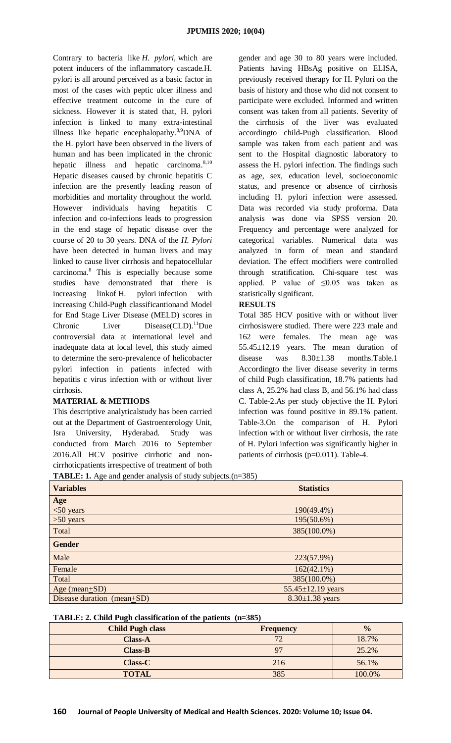Contrary to bacteria like *H. pylori,* which are potent inducers of the inflammatory cascade.H. pylori is all around perceived as a basic factor in most of the cases with peptic ulcer illness and effective treatment outcome in the cure of sickness. However it is stated that, H. pylori infection is linked to many extra-intestinal illness like hepatic encephalopathy.<sup>8,9</sup>DNA of the H. pylori have been observed in the livers of human and has been implicated in the chronic hepatic illness and hepatic carcinoma.<sup>8,10</sup> Hepatic diseases caused by chronic hepatitis C infection are the presently leading reason of morbidities and mortality throughout the world. However individuals having hepatitis C infection and co-infections leads to progression in the end stage of hepatic disease over the course of 20 to 30 years. DNA of the *H. Pylori*  have been detected in human livers and may linked to cause liver cirrhosis and hepatocellular carcinoma.<sup>8</sup> This is especially because some studies have demonstrated that there is increasing linkof H*.* pylori infection with increasing Child-Pugh classificantionand Model for End Stage Liver Disease (MELD) scores in Chronic Liver Disease(CLD).<sup>11</sup>Due controversial data at international level and inadequate data at local level, this study aimed to determine the sero-prevalence of helicobacter pylori infection in patients infected with hepatitis c virus infection with or without liver cirrhosis.

# **MATERIAL & METHODS**

This descriptive analyticalstudy has been carried out at the Department of Gastroenterology Unit, Isra University, Hyderabad. Study was conducted from March 2016 to September 2016.All HCV positive cirrhotic and noncirrhoticpatients irrespective of treatment of both

gender and age 30 to 80 years were included. Patients having HBsAg positive on ELISA, previously received therapy for H. Pylori on the basis of history and those who did not consent to participate were excluded. Informed and written consent was taken from all patients. Severity of the cirrhosis of the liver was evaluated accordingto child-Pugh classification. Blood sample was taken from each patient and was sent to the Hospital diagnostic laboratory to assess the H. pylori infection. The findings such as age, sex, education level, socioeconomic status, and presence or absence of cirrhosis including H. pylori infection were assessed. Data was recorded via study proforma. Data analysis was done via SPSS version 20. Frequency and percentage were analyzed for categorical variables. Numerical data was analyzed in form of mean and standard deviation. The effect modifiers were controlled through stratification. Chi-square test was applied. P value of  $\leq 0.05$  was taken as statistically significant.

# **RESULTS**

Total 385 HCV positive with or without liver cirrhosiswere studied. There were 223 male and 162 were females. The mean age was 55.45±12.19 years. The mean duration of disease was 8.30±1.38 months.Table.1 Accordingto the liver disease severity in terms of child Pugh classification, 18.7% patients had class A, 25.2% had class B, and 56.1% had class C. Table-2.As per study objective the H. Pylori infection was found positive in 89.1% patient. Table-3.On the comparison of H. Pylori infection with or without liver cirrhosis, the rate of H. Pylori infection was significantly higher in patients of cirrhosis (p=0.011). Table-4.

**TABLE: 1.** Age and gender analysis of study subjects.(n=385)

| <b>Example 19 The Called School</b> and the order of state $\frac{1}{2}$ subjects. (If $\frac{1}{2}$ so $\frac{1}{2}$ |                         |  |  |  |
|-----------------------------------------------------------------------------------------------------------------------|-------------------------|--|--|--|
| <b>Variables</b>                                                                                                      | <b>Statistics</b>       |  |  |  |
| Age                                                                                                                   |                         |  |  |  |
| $<$ 50 years                                                                                                          | 190(49.4%)              |  |  |  |
| $>50$ years                                                                                                           | 195(50.6%)              |  |  |  |
| Total                                                                                                                 | 385(100.0%)             |  |  |  |
| <b>Gender</b>                                                                                                         |                         |  |  |  |
| Male                                                                                                                  | 223(57.9%)              |  |  |  |
| Female                                                                                                                | $162(42.1\%)$           |  |  |  |
| Total                                                                                                                 | 385(100.0%)             |  |  |  |
| Age (mean+SD)                                                                                                         | $55.45 \pm 12.19$ years |  |  |  |
| Disease duration (mean+SD)                                                                                            | $8.30 \pm 1.38$ years   |  |  |  |
|                                                                                                                       |                         |  |  |  |

#### **TABLE: 2. Child Pugh classification of the patients (n=385)**

| <b>Child Pugh class</b> | <b>Frequency</b> | $\frac{0}{0}$ |
|-------------------------|------------------|---------------|
| <b>Class-A</b>          | 7 <sup>1</sup>   | 18.7%         |
| $Class-B$               | 97               | 25.2%         |
| <b>Class-C</b>          | 216              | 56.1%         |
| <b>TOTAL</b>            | 385              | 100.0%        |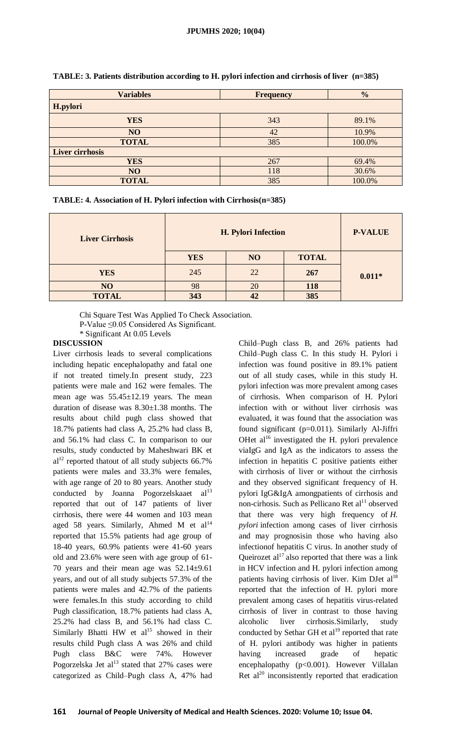| <b>Variables</b>       | <b>Frequency</b> | $\frac{0}{0}$ |  |  |  |
|------------------------|------------------|---------------|--|--|--|
| H.pylori               |                  |               |  |  |  |
| <b>YES</b>             | 343              | 89.1%         |  |  |  |
| NO                     | 42               | 10.9%         |  |  |  |
| <b>TOTAL</b>           | 385              | 100.0%        |  |  |  |
| <b>Liver cirrhosis</b> |                  |               |  |  |  |
| <b>YES</b>             | 267              | 69.4%         |  |  |  |
| N <sub>O</sub>         | 118              | 30.6%         |  |  |  |
| <b>TOTAL</b>           | 385              | 100.0%        |  |  |  |

**TABLE: 3. Patients distribution according to H. pylori infection and cirrhosis of liver (n=385)**

| TABLE: 4. Association of H. Pylori infection with Cirrhosis(n=385) |  |  |
|--------------------------------------------------------------------|--|--|
|--------------------------------------------------------------------|--|--|

| <b>Liver Cirrhosis</b> | H. Pylori Infection |    |              | <b>P-VALUE</b> |
|------------------------|---------------------|----|--------------|----------------|
|                        | <b>YES</b>          | NO | <b>TOTAL</b> |                |
| <b>YES</b>             | 245                 | 22 | 267          | $0.011*$       |
| NO                     | 98                  | 20 | 118          |                |
| <b>TOTAL</b>           | 343                 | 42 | 385          |                |

Chi Square Test Was Applied To Check Association.

P-Value ≤0.05 Considered As Significant.

\* Significant At 0.05 Levels

### **DISCUSSION**

Liver cirrhosis leads to several complications including hepatic encephalopathy and fatal one if not treated timely.In present study, 223 patients were male and 162 were females. The mean age was 55.45±12.19 years. The mean duration of disease was 8.30±1.38 months. The results about child pugh class showed that 18.7% patients had class A, 25.2% had class B, and 56.1% had class C. In comparison to our results, study conducted by Maheshwari BK et  $al<sup>12</sup>$  reported thatout of all study subjects 66.7% patients were males and 33.3% were females, with age range of 20 to 80 years. Another study conducted by Joanna Pogorzelskaaet  $al<sup>13</sup>$ reported that out of 147 patients of liver cirrhosis, there were 44 women and 103 mean aged 58 years. Similarly, Ahmed M et  $al<sup>14</sup>$ reported that 15.5% patients had age group of 18-40 years, 60.9% patients were 41-60 years old and 23.6% were seen with age group of 61- 70 years and their mean age was 52.14±9.61 years, and out of all study subjects 57.3% of the patients were males and 42.7% of the patients were females.In this study according to child Pugh classification, 18.7% patients had class A, 25.2% had class B, and 56.1% had class C. Similarly Bhatti HW et  $al^{15}$  showed in their results child Pugh class A was 26% and child Pugh class B&C were 74%. However Pogorzelska Jet  $al<sup>13</sup>$  stated that 27% cases were categorized as Child–Pugh class A, 47% had

Child–Pugh class B, and 26% patients had Child–Pugh class C. In this study H. Pylori i infection was found positive in 89.1% patient out of all study cases, while in this study H. pylori infection was more prevalent among cases of cirrhosis. When comparison of H. Pylori infection with or without liver cirrhosis was evaluated, it was found that the association was found significant (p=0.011). Similarly Al-Jiffri OHet al<sup>16</sup> investigated the H. pylori prevalence viaIgG and IgA as the indicators to assess the infection in hepatitis C positive patients either with cirrhosis of liver or without the cirrhosis and they observed significant frequency of H. pylori IgG&IgA amongpatients of cirrhosis and non-cirhosis. Such as Pellicano Ret al<sup>11</sup> observed that there was very high frequency of *H. pylori* infection among cases of liver cirrhosis and may prognosisin those who having also infectionof hepatitis C virus. In another study of Queirozet al<sup>17</sup> also reported that there was a link in HCV infection and H. pylori infection among patients having cirrhosis of liver. Kim DJet al<sup>18</sup> reported that the infection of H. pylori more prevalent among cases of hepatitis virus-related cirrhosis of liver in contrast to those having alcoholic liver cirrhosis.Similarly, study conducted by Sethar GH et al<sup>19</sup> reported that rate of H. pylori antibody was higher in patients having increased grade of hepatic encephalopathy (p<0.001). However Villalan Ret  $al^{20}$  inconsistently reported that eradication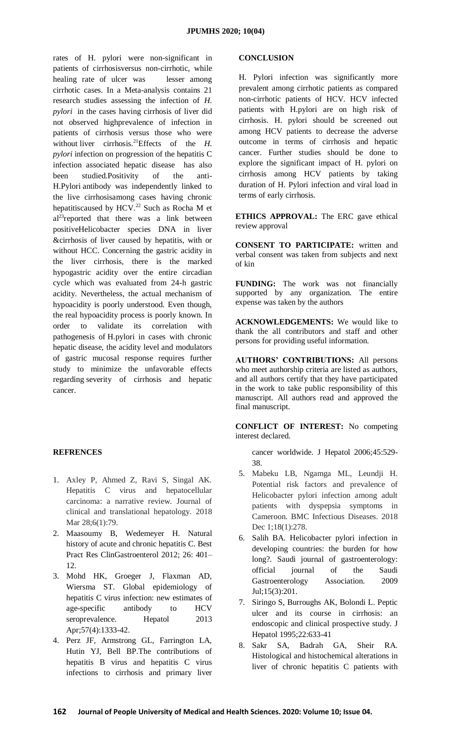rates of H. pylori were non-significant in patients of cirrhosisversus non-cirrhotic, while healing rate of ulcer was lesser among cirrhotic cases. In a Meta-analysis contains 21 research studies assessing the infection of *H. pylori* in the cases having cirrhosis of liver did not observed highprevalence of infection in patients of cirrhosis versus those who were without liver cirrhosis.<sup>21</sup>Effects of the *H*. *pylori* infection on progression of the hepatitis C infection associated hepatic disease has also been studied.Positivity of the anti-H.Pylori antibody was independently linked to the live cirrhosisamong cases having chronic hepatitiscaused by HCV.<sup>22</sup> Such as Rocha M et al<sup>23</sup>reported that there was a link between positiveHelicobacter species DNA in liver &cirrhosis of liver caused by hepatitis, with or without HCC. Concerning the gastric acidity in the liver cirrhosis, there is the marked hypogastric acidity over the entire circadian cycle which was evaluated from 24-h gastric acidity. Nevertheless, the actual mechanism of hypoacidity is poorly understood. Even though, the real hypoacidity process is poorly known. In order to validate its correlation with pathogenesis of H.pylori in cases with chronic hepatic disease, the acidity level and modulators of gastric mucosal response requires further study to minimize the unfavorable effects regarding severity of cirrhosis and hepatic cancer.

#### **REFRENCES**

- 1. Axley P, Ahmed Z, Ravi S, Singal AK. Hepatitis C virus and hepatocellular carcinoma: a narrative review. Journal of clinical and translational hepatology. 2018 Mar 28;6(1):79.
- 2. Maasoumy B, Wedemeyer H. Natural history of acute and chronic hepatitis C. Best Pract Res ClinGastroenterol 2012; 26: 401– 12.
- 3. Mohd HK, Groeger J, Flaxman AD, Wiersma ST. Global epidemiology of hepatitis C virus infection: new estimates of age-specific antibody to HCV seroprevalence. Hepatol 2013 Apr;57(4):1333-42.
- 4. Perz JF, Armstrong GL, Farrington LA, Hutin YJ, Bell BP.The contributions of hepatitis B virus and hepatitis C virus infections to cirrhosis and primary liver

#### **CONCLUSION**

H. Pylori infection was significantly more prevalent among cirrhotic patients as compared non-cirrhotic patients of HCV. HCV infected patients with H.pylori are on high risk of cirrhosis. H. pylori should be screened out among HCV patients to decrease the adverse outcome in terms of cirrhosis and hepatic cancer. Further studies should be done to explore the significant impact of H. pylori on cirrhosis among HCV patients by taking duration of H. Pylori infection and viral load in terms of early cirrhosis.

**ETHICS APPROVAL:** The ERC gave ethical review approval

**CONSENT TO PARTICIPATE:** written and verbal consent was taken from subjects and next of kin

**FUNDING:** The work was not financially supported by any organization. The entire expense was taken by the authors

**ACKNOWLEDGEMENTS:** We would like to thank the all contributors and staff and other persons for providing useful information.

**AUTHORS' CONTRIBUTIONS:** All persons who meet authorship criteria are listed as authors, and all authors certify that they have participated in the work to take public responsibility of this manuscript. All authors read and approved the final manuscript.

**CONFLICT OF INTEREST:** No competing interest declared.

cancer worldwide. J Hepatol 2006;45:529- 38.

- 5. Mabeku LB, Ngamga ML, Leundji H. Potential risk factors and prevalence of Helicobacter pylori infection among adult patients with dyspepsia symptoms in Cameroon. BMC Infectious Diseases. 2018 Dec 1;18(1):278.
- 6. Salih BA. Helicobacter pylori infection in developing countries: the burden for how long?. Saudi journal of gastroenterology: official journal of the Saudi Gastroenterology Association. 2009 Jul;15(3):201.
- 7. Siringo S, Burroughs AK, Bolondi L. Peptic ulcer and its course in cirrhosis: an endoscopic and clinical prospective study. J Hepatol 1995;22:633-41
- 8. Sakr SA, Badrah GA, Sheir RA. Histological and histochemical alterations in liver of chronic hepatitis C patients with